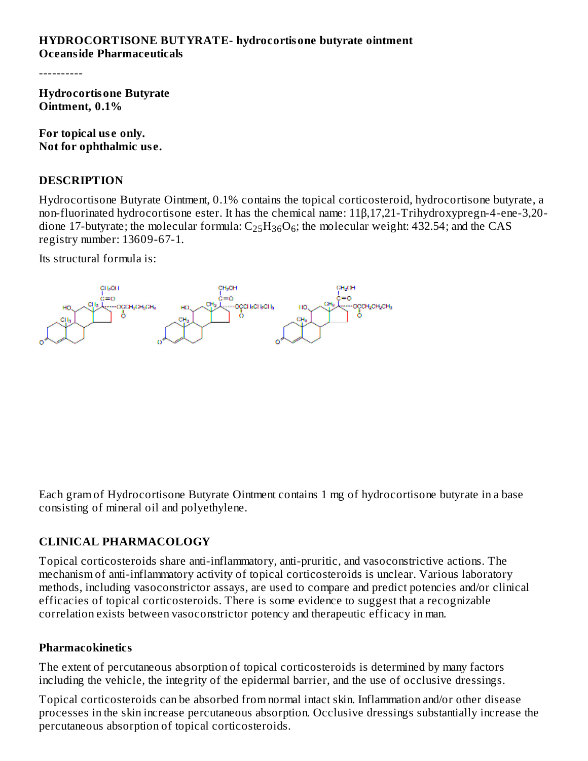#### **HYDROCORTISONE BUTYRATE- hydrocortisone butyrate ointment Oceanside Pharmaceuticals**

----------

**Hydrocortisone Butyrate Ointment, 0.1%**

**For topical us e only. Not for ophthalmic us e.**

#### **DESCRIPTION**

Hydrocortisone Butyrate Ointment, 0.1% contains the topical corticosteroid, hydrocortisone butyrate, a non-fluorinated hydrocortisone ester. It has the chemical name: 11β,17,21-Trihydroxypregn-4-ene-3,20 dione 17-butyrate; the molecular formula:  $C_{25}H_{36}O_6$ ; the molecular weight: 432.54; and the CAS registry number: 13609-67-1.

Its structural formula is:

Each gram of Hydrocortisone Butyrate Ointment contains 1 mg of hydrocortisone butyrate in a base consisting of mineral oil and polyethylene.

#### **CLINICAL PHARMACOLOGY**

Topical corticosteroids share anti-inflammatory, anti-pruritic, and vasoconstrictive actions. The mechanism of anti-inflammatory activity of topical corticosteroids is unclear. Various laboratory methods, including vasoconstrictor assays, are used to compare and predict potencies and/or clinical efficacies of topical corticosteroids. There is some evidence to suggest that a recognizable correlation exists between vasoconstrictor potency and therapeutic efficacy in man.

#### **Pharmacokinetics**

The extent of percutaneous absorption of topical corticosteroids is determined by many factors including the vehicle, the integrity of the epidermal barrier, and the use of occlusive dressings.

Topical corticosteroids can be absorbed from normal intact skin. Inflammation and/or other disease processes in the skin increase percutaneous absorption. Occlusive dressings substantially increase the percutaneous absorption of topical corticosteroids.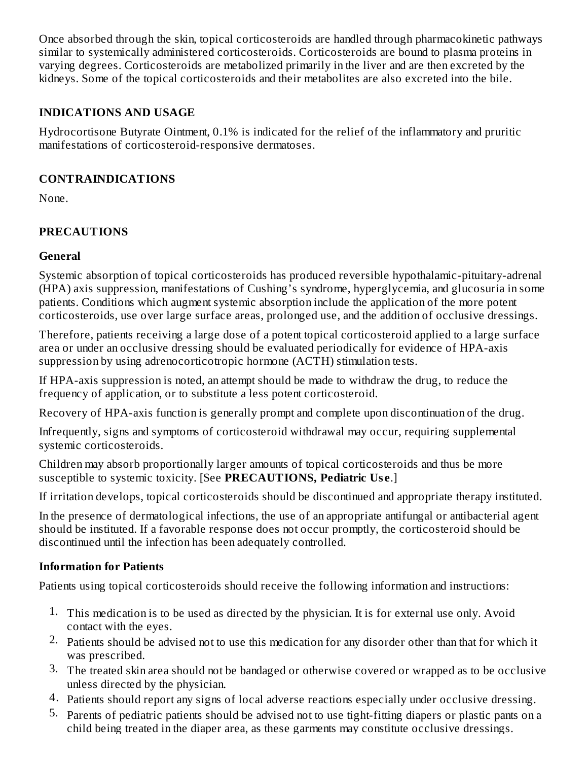Once absorbed through the skin, topical corticosteroids are handled through pharmacokinetic pathways similar to systemically administered corticosteroids. Corticosteroids are bound to plasma proteins in varying degrees. Corticosteroids are metabolized primarily in the liver and are then excreted by the kidneys. Some of the topical corticosteroids and their metabolites are also excreted into the bile.

#### **INDICATIONS AND USAGE**

Hydrocortisone Butyrate Ointment, 0.1% is indicated for the relief of the inflammatory and pruritic manifestations of corticosteroid-responsive dermatoses.

# **CONTRAINDICATIONS**

None.

# **PRECAUTIONS**

# **General**

Systemic absorption of topical corticosteroids has produced reversible hypothalamic-pituitary-adrenal (HPA) axis suppression, manifestations of Cushing's syndrome, hyperglycemia, and glucosuria in some patients. Conditions which augment systemic absorption include the application of the more potent corticosteroids, use over large surface areas, prolonged use, and the addition of occlusive dressings.

Therefore, patients receiving a large dose of a potent topical corticosteroid applied to a large surface area or under an occlusive dressing should be evaluated periodically for evidence of HPA-axis suppression by using adrenocorticotropic hormone (ACTH) stimulation tests.

If HPA-axis suppression is noted, an attempt should be made to withdraw the drug, to reduce the frequency of application, or to substitute a less potent corticosteroid.

Recovery of HPA-axis function is generally prompt and complete upon discontinuation of the drug.

Infrequently, signs and symptoms of corticosteroid withdrawal may occur, requiring supplemental systemic corticosteroids.

Children may absorb proportionally larger amounts of topical corticosteroids and thus be more susceptible to systemic toxicity. [See **PRECAUTIONS, Pediatric Us e**.]

If irritation develops, topical corticosteroids should be discontinued and appropriate therapy instituted.

In the presence of dermatological infections, the use of an appropriate antifungal or antibacterial agent should be instituted. If a favorable response does not occur promptly, the corticosteroid should be discontinued until the infection has been adequately controlled.

# **Information for Patients**

Patients using topical corticosteroids should receive the following information and instructions:

- 1. This medication is to be used as directed by the physician. It is for external use only. Avoid contact with the eyes.
- 2. Patients should be advised not to use this medication for any disorder other than that for which it was prescribed.
- 3. The treated skin area should not be bandaged or otherwise covered or wrapped as to be occlusive unless directed by the physician.
- 4. Patients should report any signs of local adverse reactions especially under occlusive dressing.
- 5. Parents of pediatric patients should be advised not to use tight-fitting diapers or plastic pants on a child being treated in the diaper area, as these garments may constitute occlusive dressings.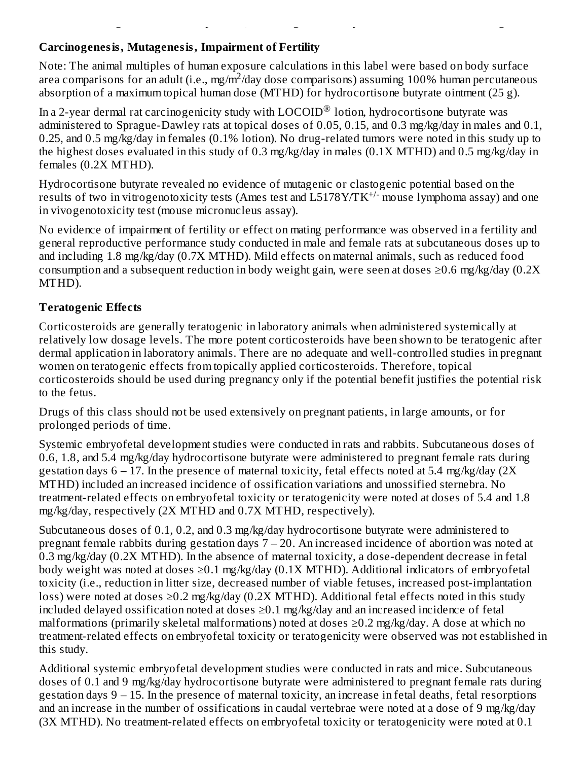# **Carcinogenesis, Mutagenesis, Impairment of Fertility**

Note: The animal multiples of human exposure calculations in this label were based on body surface area comparisons for an adult (i.e., mg/m<sup>2</sup>/day dose comparisons) assuming 100% human percutaneous absorption of a maximum topical human dose (MTHD) for hydrocortisone butyrate ointment (25 g).

child being treated in the diaper area, as these garments may constitute occlusive dressings.

In a 2-year dermal rat carcinogenicity study with  $\mathsf{LOCOID}^{\circledR}$  lotion, hydrocortisone butyrate was administered to Sprague-Dawley rats at topical doses of 0.05, 0.15, and 0.3 mg/kg/day in males and 0.1, 0.25, and 0.5 mg/kg/day in females (0.1% lotion). No drug-related tumors were noted in this study up to the highest doses evaluated in this study of 0.3 mg/kg/day in males (0.1X MTHD) and 0.5 mg/kg/day in females (0.2X MTHD).

Hydrocortisone butyrate revealed no evidence of mutagenic or clastogenic potential based on the results of two in vitrogenotoxicity tests (Ames test and  $L5178$  Y/TK<sup>+/-</sup> mouse lymphoma assay) and one in vivogenotoxicity test (mouse micronucleus assay).

No evidence of impairment of fertility or effect on mating performance was observed in a fertility and general reproductive performance study conducted in male and female rats at subcutaneous doses up to and including 1.8 mg/kg/day (0.7X MTHD). Mild effects on maternal animals, such as reduced food consumption and a subsequent reduction in body weight gain, were seen at doses  $\geq 0.6$  mg/kg/day (0.2X) MTHD).

# **Teratogenic Effects**

Corticosteroids are generally teratogenic in laboratory animals when administered systemically at relatively low dosage levels. The more potent corticosteroids have been shown to be teratogenic after dermal application in laboratory animals. There are no adequate and well-controlled studies in pregnant women on teratogenic effects from topically applied corticosteroids. Therefore, topical corticosteroids should be used during pregnancy only if the potential benefit justifies the potential risk to the fetus.

Drugs of this class should not be used extensively on pregnant patients, in large amounts, or for prolonged periods of time.

Systemic embryofetal development studies were conducted in rats and rabbits. Subcutaneous doses of 0.6, 1.8, and 5.4 mg/kg/day hydrocortisone butyrate were administered to pregnant female rats during gestation days  $6 - 17$ . In the presence of maternal toxicity, fetal effects noted at 5.4 mg/kg/day (2X) MTHD) included an increased incidence of ossification variations and unossified sternebra. No treatment-related effects on embryofetal toxicity or teratogenicity were noted at doses of 5.4 and 1.8 mg/kg/day, respectively (2X MTHD and 0.7X MTHD, respectively).

Subcutaneous doses of 0.1, 0.2, and 0.3 mg/kg/day hydrocortisone butyrate were administered to pregnant female rabbits during gestation days 7 – 20. An increased incidence of abortion was noted at 0.3 mg/kg/day (0.2X MTHD). In the absence of maternal toxicity, a dose-dependent decrease in fetal body weight was noted at doses  $\geq 0.1$  mg/kg/day (0.1X MTHD). Additional indicators of embryofetal toxicity (i.e., reduction in litter size, decreased number of viable fetuses, increased post-implantation loss) were noted at doses  $\geq$ 0.2 mg/kg/day (0.2X MTHD). Additional fetal effects noted in this study included delayed ossification noted at doses  $\geq$ 0.1 mg/kg/day and an increased incidence of fetal malformations (primarily skeletal malformations) noted at doses ≥0.2 mg/kg/day. A dose at which no treatment-related effects on embryofetal toxicity or teratogenicity were observed was not established in this study.

Additional systemic embryofetal development studies were conducted in rats and mice. Subcutaneous doses of 0.1 and 9 mg/kg/day hydrocortisone butyrate were administered to pregnant female rats during gestation days 9 – 15. In the presence of maternal toxicity, an increase in fetal deaths, fetal resorptions and an increase in the number of ossifications in caudal vertebrae were noted at a dose of 9 mg/kg/day (3X MTHD). No treatment-related effects on embryofetal toxicity or teratogenicity were noted at 0.1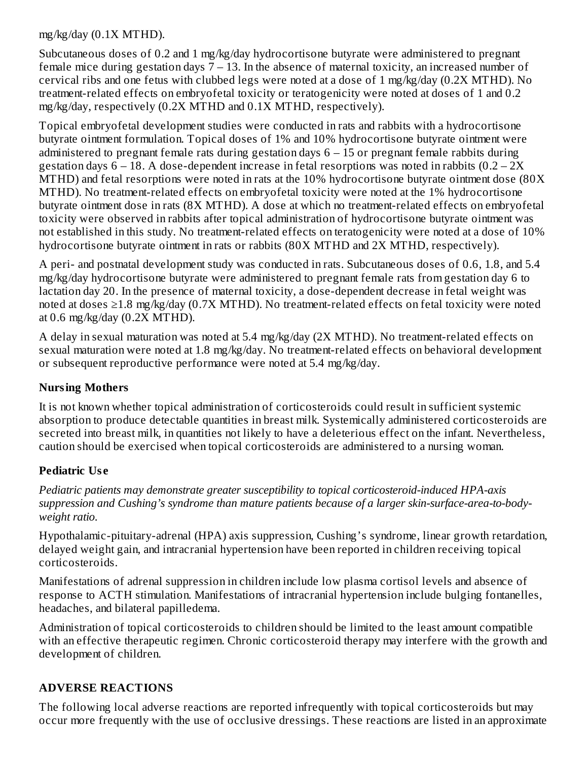mg/kg/day (0.1X MTHD).

Subcutaneous doses of 0.2 and 1 mg/kg/day hydrocortisone butyrate were administered to pregnant female mice during gestation days 7 – 13. In the absence of maternal toxicity, an increased number of cervical ribs and one fetus with clubbed legs were noted at a dose of 1 mg/kg/day (0.2X MTHD). No treatment-related effects on embryofetal toxicity or teratogenicity were noted at doses of 1 and 0.2 mg/kg/day, respectively (0.2X MTHD and 0.1X MTHD, respectively).

Topical embryofetal development studies were conducted in rats and rabbits with a hydrocortisone butyrate ointment formulation. Topical doses of 1% and 10% hydrocortisone butyrate ointment were administered to pregnant female rats during gestation days  $6 - 15$  or pregnant female rabbits during gestation days  $6 - 18$ . A dose-dependent increase in fetal resorptions was noted in rabbits  $(0.2 - 2X)$ MTHD) and fetal resorptions were noted in rats at the 10% hydrocortisone butyrate ointment dose (80X) MTHD). No treatment-related effects on embryofetal toxicity were noted at the 1% hydrocortisone butyrate ointment dose in rats (8X MTHD). A dose at which no treatment-related effects on embryofetal toxicity were observed in rabbits after topical administration of hydrocortisone butyrate ointment was not established in this study. No treatment-related effects on teratogenicity were noted at a dose of 10% hydrocortisone butyrate ointment in rats or rabbits (80X MTHD and 2X MTHD, respectively).

A peri- and postnatal development study was conducted in rats. Subcutaneous doses of 0.6, 1.8, and 5.4 mg/kg/day hydrocortisone butyrate were administered to pregnant female rats from gestation day 6 to lactation day 20. In the presence of maternal toxicity, a dose-dependent decrease in fetal weight was noted at doses ≥1.8 mg/kg/day (0.7X MTHD). No treatment-related effects on fetal toxicity were noted at 0.6 mg/kg/day (0.2X MTHD).

A delay in sexual maturation was noted at 5.4 mg/kg/day (2X MTHD). No treatment-related effects on sexual maturation were noted at 1.8 mg/kg/day. No treatment-related effects on behavioral development or subsequent reproductive performance were noted at 5.4 mg/kg/day.

# **Nursing Mothers**

It is not known whether topical administration of corticosteroids could result in sufficient systemic absorption to produce detectable quantities in breast milk. Systemically administered corticosteroids are secreted into breast milk, in quantities not likely to have a deleterious effect on the infant. Nevertheless, caution should be exercised when topical corticosteroids are administered to a nursing woman.

# **Pediatric Us e**

*Pediatric patients may demonstrate greater susceptibility to topical corticosteroid-induced HPA-axis suppression and Cushing's syndrome than mature patients because of a larger skin-surface-area-to-bodyweight ratio.*

Hypothalamic-pituitary-adrenal (HPA) axis suppression, Cushing's syndrome, linear growth retardation, delayed weight gain, and intracranial hypertension have been reported in children receiving topical corticosteroids.

Manifestations of adrenal suppression in children include low plasma cortisol levels and absence of response to ACTH stimulation. Manifestations of intracranial hypertension include bulging fontanelles, headaches, and bilateral papilledema.

Administration of topical corticosteroids to children should be limited to the least amount compatible with an effective therapeutic regimen. Chronic corticosteroid therapy may interfere with the growth and development of children.

# **ADVERSE REACTIONS**

The following local adverse reactions are reported infrequently with topical corticosteroids but may occur more frequently with the use of occlusive dressings. These reactions are listed in an approximate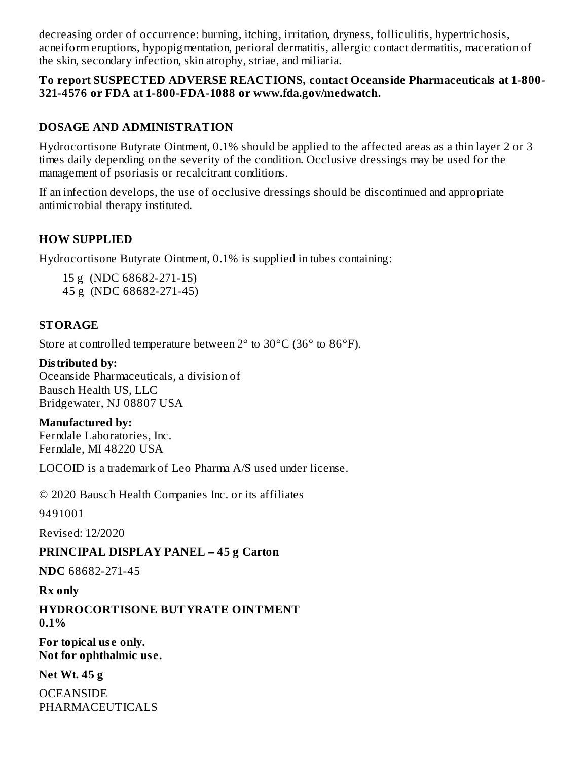decreasing order of occurrence: burning, itching, irritation, dryness, folliculitis, hypertrichosis, acneiform eruptions, hypopigmentation, perioral dermatitis, allergic contact dermatitis, maceration of the skin, secondary infection, skin atrophy, striae, and miliaria.

#### **To report SUSPECTED ADVERSE REACTIONS, contact Oceanside Pharmaceuticals at 1-800- 321-4576 or FDA at 1-800-FDA-1088 or www.fda.gov/medwatch.**

#### **DOSAGE AND ADMINISTRATION**

Hydrocortisone Butyrate Ointment, 0.1% should be applied to the affected areas as a thin layer 2 or 3 times daily depending on the severity of the condition. Occlusive dressings may be used for the management of psoriasis or recalcitrant conditions.

If an infection develops, the use of occlusive dressings should be discontinued and appropriate antimicrobial therapy instituted.

#### **HOW SUPPLIED**

Hydrocortisone Butyrate Ointment, 0.1% is supplied in tubes containing:

15 g (NDC 68682-271-15) 45 g (NDC 68682-271-45)

# **STORAGE**

Store at controlled temperature between 2° to 30°C (36° to 86°F).

**Distributed by:** Oceanside Pharmaceuticals, a division of Bausch Health US, LLC Bridgewater, NJ 08807 USA

**Manufactured by:** Ferndale Laboratories, Inc. Ferndale, MI 48220 USA

LOCOID is a trademark of Leo Pharma A/S used under license.

© 2020 Bausch Health Companies Inc. or its affiliates

9491001

Revised: 12/2020

#### **PRINCIPAL DISPLAY PANEL – 45 g Carton**

**NDC** 68682-271-45

#### **Rx only**

**HYDROCORTISONE BUTYRATE OINTMENT 0.1%**

**For topical us e only. Not for ophthalmic us e.**

**Net Wt. 45 g**

**OCEANSIDE** PHARMACEUTICALS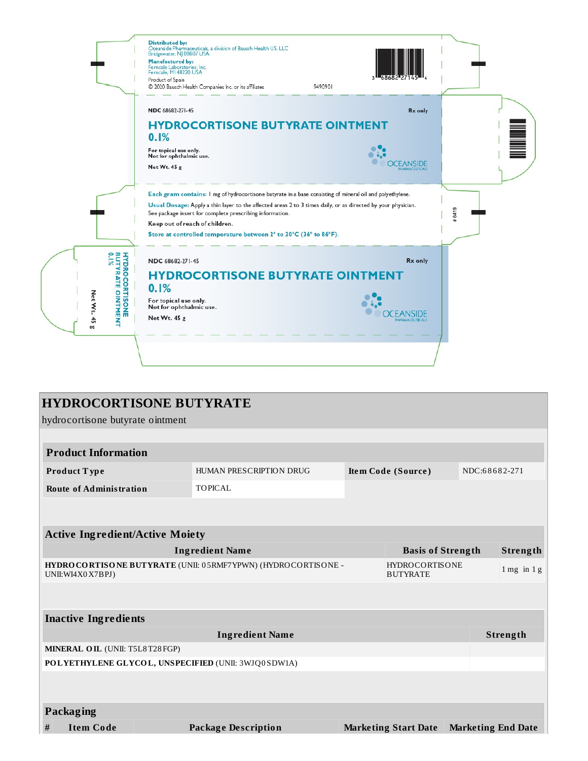|                                                                  | <b>Distributed by:</b><br>Oceanside Pharmaceuticals, a division of Bausch Health US, LLC<br>Bridgewater, NJ 08807 USA<br>Manufactured by:<br>Ferncale Laboratories, Inc.<br>Ferncale, MI 48220 USA<br>Product of Spain<br>C 2020 Bausch Health Companies Inc. or its affiliates<br>9490901                                                                                                                                                       |                              |
|------------------------------------------------------------------|--------------------------------------------------------------------------------------------------------------------------------------------------------------------------------------------------------------------------------------------------------------------------------------------------------------------------------------------------------------------------------------------------------------------------------------------------|------------------------------|
|                                                                  | NDC 68682-271-45<br>Rx only<br><b>HYDROCORTISONE BUTYRATE OINTMENT</b><br>0.1%<br>For topical use only.<br>Not for ophthalmic use.                                                                                                                                                                                                                                                                                                               |                              |
|                                                                  | EANSIDE<br>Net Wt. 45 g<br><b>HARMACEUTICALS</b><br>Each gram contains: I mg of hydrocortisone butyrate in a base consisting of mineral oil and polyethylene.<br>Usual Dosage: Apply a thin layer to the affected areas 2 to 3 times daily, or as directed by your physician.<br>See package insert for complete prescribing information.<br>Keep out of reach of children.<br>Store at controlled temperature between 2° to 30°C (36° to 86°F). | 6419<br>$\ddot{\phantom{a}}$ |
| HYDROCORTISONE<br>BUTYRATE OINTMENT<br>0.1%<br>Net Wt.<br>4<br>œ | Rx only<br>NDC 68682-271-45<br><b>HYDROCORTISONE BUTYRATE OINTMENT</b><br>0.1%<br>For topical use only.<br>Not for ophthalmic use.<br>EANSIDE<br>Net Wt. 45 g<br><b>PHARMACEUTICALS</b>                                                                                                                                                                                                                                                          |                              |
|                                                                  |                                                                                                                                                                                                                                                                                                                                                                                                                                                  |                              |

|                                                    | <b>HYDROCORTISONE BUTYRATE</b>                                                                                                 |  |                                                     |                 |                             |                           |          |
|----------------------------------------------------|--------------------------------------------------------------------------------------------------------------------------------|--|-----------------------------------------------------|-----------------|-----------------------------|---------------------------|----------|
|                                                    | hydrocortisone butyrate ointment                                                                                               |  |                                                     |                 |                             |                           |          |
|                                                    |                                                                                                                                |  |                                                     |                 |                             |                           |          |
|                                                    | <b>Product Information</b>                                                                                                     |  |                                                     |                 |                             |                           |          |
|                                                    | Product Type                                                                                                                   |  | HUMAN PRESCRIPTION DRUG                             |                 | Item Code (Source)          | NDC:68682-271             |          |
|                                                    | <b>Route of Administration</b>                                                                                                 |  | <b>TOPICAL</b>                                      |                 |                             |                           |          |
|                                                    |                                                                                                                                |  |                                                     |                 |                             |                           |          |
|                                                    |                                                                                                                                |  |                                                     |                 |                             |                           |          |
| <b>Active Ingredient/Active Moiety</b>             |                                                                                                                                |  |                                                     |                 |                             |                           |          |
| <b>Ingredient Name</b><br><b>Basis of Strength</b> |                                                                                                                                |  |                                                     | Strength        |                             |                           |          |
|                                                    | HYDROCORTISONE BUTYRATE (UNII: 05RMF7YPWN) (HYDROCORTISONE -<br><b>HYDROCORTISONE</b><br>UNII: WI4X0 X7BPJ)<br><b>BUTYRATE</b> |  |                                                     | $1$ mg in $1$ g |                             |                           |          |
|                                                    |                                                                                                                                |  |                                                     |                 |                             |                           |          |
|                                                    |                                                                                                                                |  |                                                     |                 |                             |                           |          |
| <b>Inactive Ingredients</b>                        |                                                                                                                                |  |                                                     |                 |                             |                           |          |
|                                                    |                                                                                                                                |  | <b>Ingredient Name</b>                              |                 |                             |                           | Strength |
|                                                    | MINERAL OIL (UNII: T5L8T28FGP)                                                                                                 |  |                                                     |                 |                             |                           |          |
|                                                    |                                                                                                                                |  | POLYETHYLENE GLYCOL, UNSPECIFIED (UNII: 3WJQ0SDW1A) |                 |                             |                           |          |
|                                                    |                                                                                                                                |  |                                                     |                 |                             |                           |          |
|                                                    |                                                                                                                                |  |                                                     |                 |                             |                           |          |
| Packaging                                          |                                                                                                                                |  |                                                     |                 |                             |                           |          |
| #                                                  | <b>Item Code</b>                                                                                                               |  | <b>Package Description</b>                          |                 | <b>Marketing Start Date</b> | <b>Marketing End Date</b> |          |